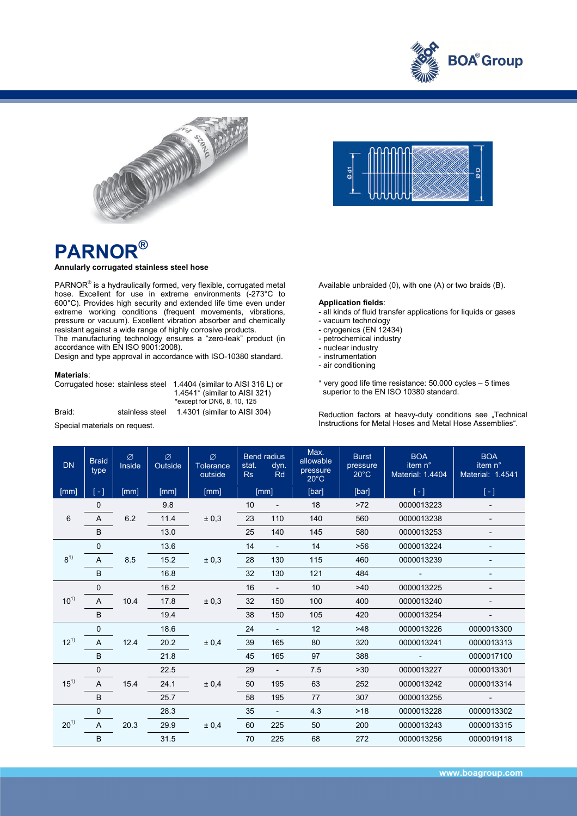



# **PARNOR®**

### **Annularly corrugated stainless steel hose**

PARNOR<sup>®</sup> is a hydraulically formed, very flexible, corrugated metal hose. Excellent for use in extreme environments (-273°C to 600°C). Provides high security and extended life time even under extreme working conditions (frequent movements, vibrations, pressure or vacuum). Excellent vibration absorber and chemically resistant against a wide range of highly corrosive products.

The manufacturing technology ensures a "zero-leak" product (in accordance with EN ISO 9001:2008).

Design and type approval in accordance with ISO-10380 standard.

#### **Materials**:

| Corrugated hose: stainless steel |                 | 1.4404 (similar to AISI 316 L) or<br>1.4541 $*$ (similar to AISI 321)<br>*except for DN6, 8, 10, 125 |  |  |  |
|----------------------------------|-----------------|------------------------------------------------------------------------------------------------------|--|--|--|
| Braid:                           | stainless steel | 1.4301 (similar to AISI 304)                                                                         |  |  |  |

Special materials on request.



Available unbraided (0), with one (A) or two braids (B).

#### **Application fields**:

- all kinds of fluid transfer applications for liquids or gases
- vacuum technology
- cryogenics (EN 12434)
- petrochemical industry
- nuclear industry
- instrumentation
- air conditioning
- \* very good life time resistance: 50.000 cycles 5 times superior to the EN ISO 10380 standard.

Reduction factors at heavy-duty conditions see "Technical Instructions for Metal Hoses and Metal Hose Assemblies".

| <b>DN</b> | <b>Braid</b><br>type      | Ø<br>Inside | Ø<br>Outside | Ø<br><b>Tolerance</b><br>outside | stat.<br>Rs | <b>Bend radius</b><br>dyn.<br><b>Rd</b> | Max.<br>allowable<br>pressure<br>$20^{\circ}$ C | <b>Burst</b><br>pressure<br>$20^{\circ}$ C | <b>BOA</b><br>item n°<br><b>Material: 1.4404</b> | <b>BOA</b><br>item n°<br>Material: 1.4541 |
|-----------|---------------------------|-------------|--------------|----------------------------------|-------------|-----------------------------------------|-------------------------------------------------|--------------------------------------------|--------------------------------------------------|-------------------------------------------|
| [mm]      | $\lceil - \rceil$         | [mm]        | [mm]         | [mm]                             | [mm]        |                                         | [bar]                                           | [bar]                                      | $[-]$                                            | $[-]$                                     |
|           | $\mathbf 0$               |             | 9.8          |                                  | 10          |                                         | 18                                              | $>72$                                      | 0000013223                                       | $\qquad \qquad \blacksquare$              |
| 6         | A                         | 6.2         | 11.4         | ± 0,3                            | 23          | 110                                     | 140                                             | 560                                        | 0000013238                                       | $\overline{\phantom{0}}$                  |
|           | B                         |             | 13.0         |                                  | 25          | 140                                     | 145                                             | 580                                        | 0000013253                                       |                                           |
| $8^{1}$   | $\mathbf{0}$              |             | 13.6         | ± 0,3                            | 14          | $\blacksquare$                          | 14                                              | $>56$                                      | 0000013224                                       | -                                         |
|           | A                         | 8.5         | 15.2         |                                  | 28          | 130                                     | 115                                             | 460                                        | 0000013239                                       |                                           |
|           | B                         |             | 16.8         |                                  | 32          | 130                                     | 121                                             | 484                                        | $\blacksquare$                                   | -                                         |
| $10^{1}$  | $\mathbf 0$               |             | 16.2         | ± 0,3                            | 16          | $\overline{\phantom{0}}$                | 10                                              | >40                                        | 0000013225                                       |                                           |
|           | A                         | 10.4        | 17.8         |                                  | 32          | 150                                     | 100                                             | 400                                        | 0000013240                                       | $\qquad \qquad \blacksquare$              |
|           | B                         |             | 19.4         |                                  | 38          | 150                                     | 105                                             | 420                                        | 0000013254                                       |                                           |
| $12^{1}$  | $\mathbf{0}$<br>12.4<br>A |             | 18.6         | ± 0.4                            | 24          | $\overline{\phantom{0}}$                | 12                                              | >48                                        | 0000013226                                       | 0000013300                                |
|           |                           |             | 20.2         |                                  | 39          | 165                                     | 80                                              | 320                                        | 0000013241                                       | 0000013313                                |
|           | B                         |             | 21.8         |                                  | 45          | 165                                     | 97                                              | 388                                        |                                                  | 0000017100                                |
|           | $\mathbf 0$               |             | 22.5         |                                  | 29          | $\overline{\phantom{a}}$                | 7.5                                             | $>30$                                      | 0000013227                                       | 0000013301                                |
| $15^{1}$  | A                         | 15.4        | 24.1         | ± 0,4                            | 50          | 195                                     | 63                                              | 252                                        | 0000013242                                       | 0000013314                                |
|           | B                         |             | 25.7         |                                  | 58          | 195                                     | 77                                              | 307                                        | 0000013255                                       | $\overline{\phantom{a}}$                  |
|           | $\mathbf{0}$              |             | 28.3         |                                  | 35          |                                         | 4.3                                             | >18                                        | 0000013228                                       | 0000013302                                |
| $20^{1}$  | A                         | 20.3        | 29.9         | ± 0,4                            | 60          | 225                                     | 50                                              | 200                                        | 0000013243                                       | 0000013315                                |
|           | B                         |             | 31.5         |                                  | 70          | 225                                     | 68                                              | 272                                        | 0000013256                                       | 0000019118                                |